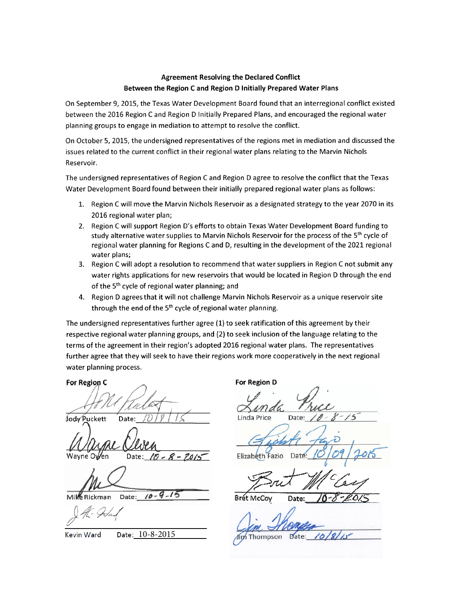### Agreement Resolving the Declared Conflict Between the Region <sup>C</sup> and Region D Initially Prepared Water Plans

On September 9, 2015, the Texas Water Development Board found that an interregional conflict existed between the 2016 Region <sup>C</sup> and Region <sup>D</sup> Initially Prepared Plans, and encouraged the regional water planning groups to engage in mediation to attempt to resolve the conflict.

On October 5, 2015, the undersigned representatives of the regions met in mediation and discussed the issues related to the current conflict in their regional water plans relating to the Marvin Nichols Reservoir.

The undersigned representatives of Region <sup>C</sup> and Region <sup>D</sup> agree to resolve the conflict that the Texas Water Development Board found between their initially prepared regional water plans as follows:

- 1. Region <sup>C</sup> will move the Marvin Nichols Reservoir as a designated strategy to the year 2070 in its 2016 regional water plan;
- 2. Region C will support Region D's efforts to obtain Texas Water Development Board funding to<br>study alternative water supplies to Marvin Nichols Reservoir for the process of the 5<sup>th</sup> cycle of regional water planning for Regions <sup>C</sup> and D, resulting in the development of the 2021 regional water plans;
- 3. Region <sup>C</sup> will adopt a resolution to recommend that water suppliers in Region <sup>C</sup> not submit any water rights applications for new reservoirs that would be located in Region <sup>D</sup> through the end of the 5<sup>th</sup> cycle of regional water planning; and
- 4. Region <sup>D</sup> agrees that it will not challenge Marvin Nichols Reservoir as a unique reservoir site through the end of the  $5<sup>th</sup>$  cycle of regional water planning.

The undersigned representatives further agree (1) to seek ratification of this agreement by their respective regional water planning groups, and (2) to seek inclusion of the language relating to the terms of the agreement in their region's adopted 2016 regional water plans. The representatives further agree that they will seek to have their regions work more cooperatively in the next regional water planning process.

For Region C **Community COLLEGE CONTEX For Region D** 

Jody Puckett Date:\_\_\_\_\_\_\_\_\_\_\_\_\_\_\_\_\_\_\_\_

Wayne Owen Date: 10 - 8 - 2019

Mike Rickman Date: /0-9-15

Linda Price Date:

Elizabeth Fazio

Bret McCoy Date:

Kevin Ward Date: 10-8-2015 Jim Thompson Date: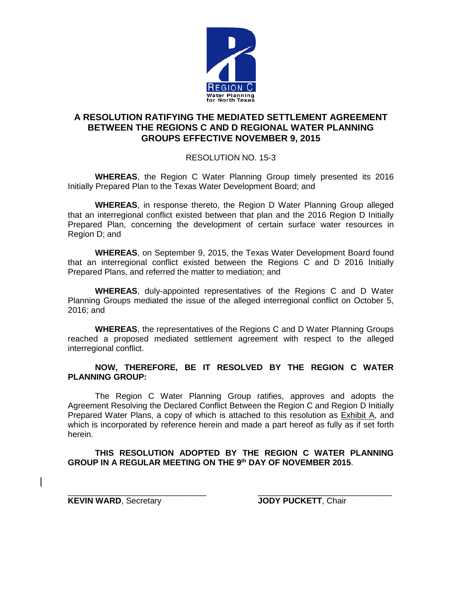

# **A RESOLUTION RATIFYING THE MEDIATED SETTLEMENT AGREEMENT BETWEEN THE REGIONS C AND D REGIONAL WATER PLANNING GROUPS EFFECTIVE NOVEMBER 9, 2015**

## RESOLUTION NO. 15-3

**WHEREAS**, the Region C Water Planning Group timely presented its 2016 Initially Prepared Plan to the Texas Water Development Board; and

**WHEREAS**, in response thereto, the Region D Water Planning Group alleged that an interregional conflict existed between that plan and the 2016 Region D Initially Prepared Plan, concerning the development of certain surface water resources in Region D; and

**WHEREAS**, on September 9, 2015, the Texas Water Development Board found that an interregional conflict existed between the Regions C and D 2016 Initially Prepared Plans, and referred the matter to mediation; and

**WHEREAS**, duly-appointed representatives of the Regions C and D Water Planning Groups mediated the issue of the alleged interregional conflict on October 5, 2016; and

**WHEREAS**, the representatives of the Regions C and D Water Planning Groups reached a proposed mediated settlement agreement with respect to the alleged interregional conflict.

### **NOW, THEREFORE, BE IT RESOLVED BY THE REGION C WATER PLANNING GROUP:**

The Region C Water Planning Group ratifies, approves and adopts the Agreement Resolving the Declared Conflict Between the Region C and Region D Initially Prepared Water Plans, a copy of which is attached to this resolution as Exhibit A, and which is incorporated by reference herein and made a part hereof as fully as if set forth herein.

### **THIS RESOLUTION ADOPTED BY THE REGION C WATER PLANNING GROUP IN A REGULAR MEETING ON THE 9th DAY OF NOVEMBER 2015**.

**KEVIN WARD**, Secretary **JODY PUCKETT**, Chair

\_\_\_\_\_\_\_\_\_\_\_\_\_\_\_\_\_\_\_\_\_\_\_\_\_\_\_\_\_\_ \_\_\_\_\_\_\_\_\_\_\_\_\_\_\_\_\_\_\_\_\_\_\_\_\_\_\_\_\_